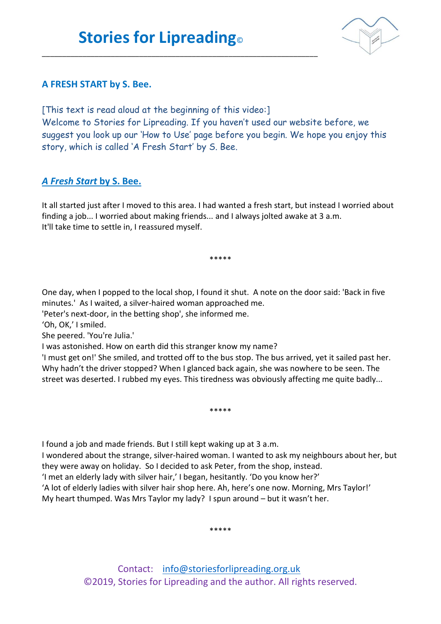\_\_\_\_\_\_\_\_\_\_\_\_\_\_\_\_\_\_\_\_\_\_\_\_\_\_\_\_\_\_\_\_\_\_\_\_\_\_\_\_\_\_\_\_\_\_\_\_\_\_\_\_\_\_\_\_\_\_\_\_\_\_\_\_\_\_\_\_



## **A FRESH START by S. Bee.**

[This text is read aloud at the beginning of this video:] Welcome to Stories for Lipreading. If you haven't used our website before, we suggest you look up our 'How to Use' page before you begin. We hope you enjoy this story, which is called 'A Fresh Start' by S. Bee.

## *A Fresh Start* **by S. Bee.**

It all started just after I moved to this area. I had wanted a fresh start, but instead I worried about finding a job... I worried about making friends... and I always jolted awake at 3 a.m. It'll take time to settle in, I reassured myself.

\*\*\*\*\*

One day, when I popped to the local shop, I found it shut. A note on the door said: 'Back in five minutes.' As I waited, a silver-haired woman approached me.

'Peter's next-door, in the betting shop', she informed me.

'Oh, OK,' I smiled.

She peered. 'You're Julia.'

I was astonished. How on earth did this stranger know my name?

'I must get on!' She smiled, and trotted off to the bus stop. The bus arrived, yet it sailed past her. Why hadn't the driver stopped? When I glanced back again, she was nowhere to be seen. The street was deserted. I rubbed my eyes. This tiredness was obviously affecting me quite badly...

\*\*\*\*\*

I found a job and made friends. But I still kept waking up at 3 a.m.

I wondered about the strange, silver-haired woman. I wanted to ask my neighbours about her, but they were away on holiday. So I decided to ask Peter, from the shop, instead. 'I met an elderly lady with silver hair,' I began, hesitantly. 'Do you know her?'

'A lot of elderly ladies with silver hair shop here. Ah, here's one now. Morning, Mrs Taylor!'

My heart thumped. Was Mrs Taylor my lady? I spun around – but it wasn't her.

\*\*\*\*\*

Contact: [info@storiesforlipreading.org.uk](mailto:info@storiesforlipreading.org.uk) ©2019, Stories for Lipreading and the author. All rights reserved.